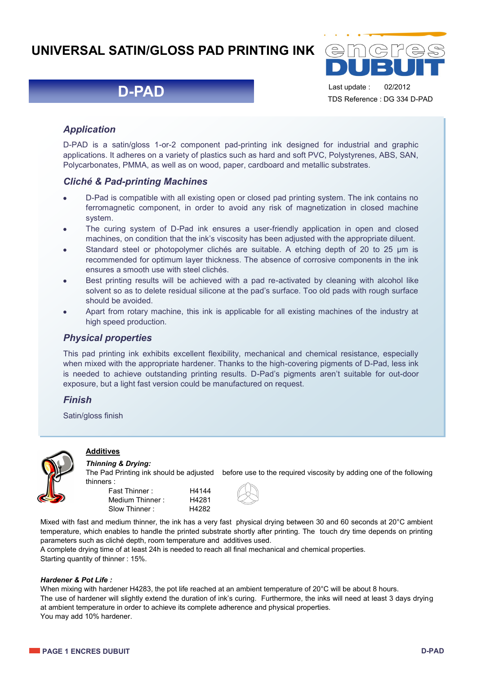# **UNIVERSAL SATIN/GLOSS PAD PRINTING INK**

# **D-PAD**



Last update : 02/2012 TDS Reference : DG 334 D-PAD

## *Application*

D-PAD is a satin/gloss 1-or-2 component pad-printing ink designed for industrial and graphic applications. It adheres on a variety of plastics such as hard and soft PVC, Polystyrenes, ABS, SAN, Polycarbonates, PMMA, as well as on wood, paper, cardboard and metallic substrates.

### *Cliché & Pad-printing Machines*

- D-Pad is compatible with all existing open or closed pad printing system. The ink contains no  $\bullet$ ferromagnetic component, in order to avoid any risk of magnetization in closed machine system.
- The curing system of D-Pad ink ensures a user-friendly application in open and closed machines, on condition that the ink's viscosity has been adjusted with the appropriate diluent.
- Standard steel or photopolymer clichés are suitable. A etching depth of 20 to 25  $\mu$ m is recommended for optimum layer thickness. The absence of corrosive components in the ink ensures a smooth use with steel clichés.
- Best printing results will be achieved with a pad re-activated by cleaning with alcohol like solvent so as to delete residual silicone at the pad's surface. Too old pads with rough surface should be avoided.
- Apart from rotary machine, this ink is applicable for all existing machines of the industry at high speed production.

### *Physical properties*

This pad printing ink exhibits excellent flexibility, mechanical and chemical resistance, especially when mixed with the appropriate hardener. Thanks to the high-covering pigments of D-Pad, less ink is needed to achieve outstanding printing results. D-Pad's pigments aren't suitable for out-door exposure, but a light fast version could be manufactured on request.

### *Finish*

Satin/gloss finish



# **Additives**

#### *Thinning & Drying:*

The Pad Printing ink should be adjusted before use to the required viscosity by adding one of the following thinners :

| Fast Thinner:   | H4144 |
|-----------------|-------|
| Medium Thinner: | H4281 |
| Slow Thinner:   | H4282 |



Mixed with fast and medium thinner, the ink has a very fast physical drying between 30 and 60 seconds at 20°C ambient temperature, which enables to handle the printed substrate shortly after printing. The touch dry time depends on printing parameters such as cliché depth, room temperature and additives used.

A complete drying time of at least 24h is needed to reach all final mechanical and chemical properties. Starting quantity of thinner : 15%.

#### *Hardener & Pot Life :*

When mixing with hardener H4283, the pot life reached at an ambient temperature of 20°C will be about 8 hours. The use of hardener will slightly extend the duration of ink's curing. Furthermore, the inks will need at least 3 days drying at ambient temperature in order to achieve its complete adherence and physical properties. You may add 10% hardener.